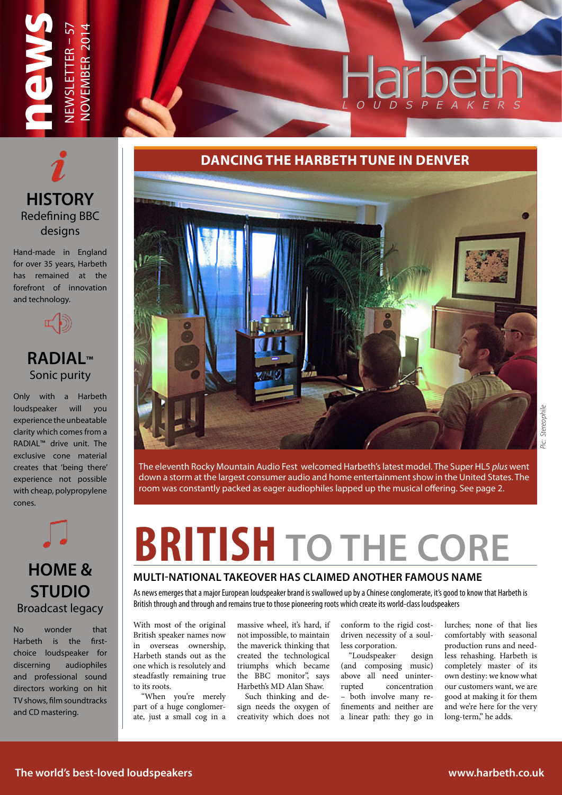## Harbe *L O U D S P E A K E R S*



NEWSLETTER – 57 NOVEMBER 2014

NEWSLETTER – !

**JOVEMBER 2014** 

**news**

Hand-made in England for over 35 years, Harbeth has remained at the forefront of innovation and technology.



## **RADIAL™** Sonic purity

Only with a Harbeth loudspeaker will you experience the unbeatable clarity which comes from a RADIAL™ drive unit. The exclusive cone material creates that 'being there' experience not possible with cheap, polypropylene cones.



Broadcast legacy No wonder that

Harbeth is the firstchoice loudspeaker for discerning audiophiles and professional sound directors working on hit TV shows, film soundtracks and CD mastering.

## **DANCING THE HARBETH TUNE IN DENVER**



The eleventh Rocky Mountain Audio Fest welcomed Harbeth's latest model. The Super HL5 *plus* went down a storm at the largest consumer audio and home entertainment show in the United States. The room was constantly packed as eager audiophiles lapped up the musical offering. See page 2.

## **BRITISH TO THE CORE**

### **MULTI-NATIONAL TAKEOVER HAS CLAIMED ANOTHER FAMOUS NAME**

As news emerges that a major European loudspeaker brand is swallowed up by a Chinese conglomerate, it's good to know that Harbeth is British through and through and remains true to those pioneering roots which create its world-class loudspeakers

With most of the original British speaker names now in overseas ownership, Harbeth stands out as the one which is resolutely and steadfastly remaining true to its roots.

"When you're merely part of a huge conglomerate, just a small cog in a

massive wheel, it's hard, if not impossible, to maintain the maverick thinking that created the technological triumphs which became the BBC monitor", says Harbeth's MD Alan Shaw.

Such thinking and design needs the oxygen of creativity which does not

conform to the rigid costdriven necessity of a soulless corporation.

"Loudspeaker design (and composing music) above all need uninter-<br>rupted concentration concentration – both involve many refinements and neither are a linear path: they go in lurches; none of that lies comfortably with seasonal production runs and needless rehashing. Harbeth is completely master of its own destiny: we know what our customers want, we are good at making it for them and we're here for the very long-term," he adds.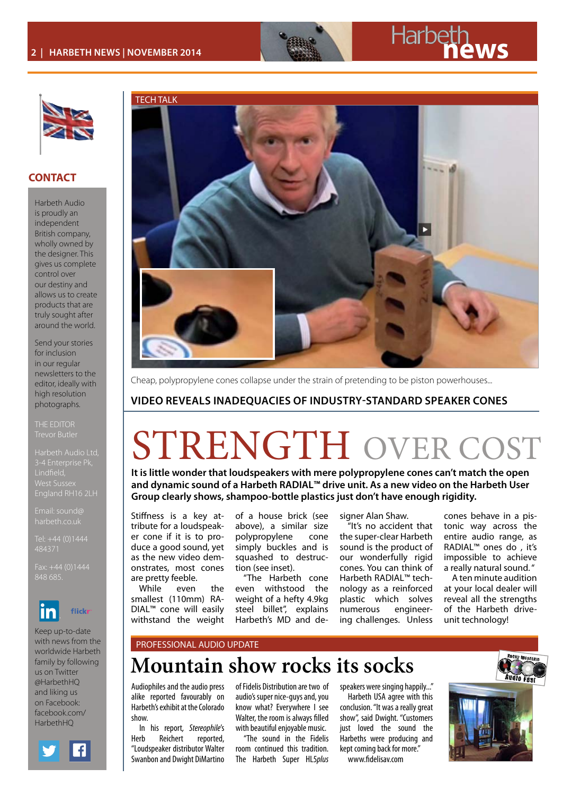

## **2 | HARBETH NEWS | NOVEMBER 2014**



### **CONTACT**

Harbeth Audio is proudly an independent British company, wholly owned by the designer. This gives us complete control over our destiny and allows us to create products that are truly sought after around the world.

Send your stories for inclusion in our regular newsletters to the editor, ideally with high resolution photographs.

Harbeth Audio Ltd, West Susse

Email: sound@

484371

848 685.



Keep up-to-date with news from the worldwide Harbeth family by following us on Twitter @HarbethHQ and liking us on Facebook: facebook.com/ HarhethHO





Cheap, polypropylene cones collapse under the strain of pretending to be piston powerhouses...

## **VIDEO REVEALS INADEQUACIES OF INDUSTRY-STANDARD SPEAKER CONES**

## STRENGTH OVER COST

**It is little wonder that loudspeakers with mere polypropylene cones can't match the open and dynamic sound of a Harbeth RADIAL™ drive unit. As a new video on the Harbeth User Group clearly shows, shampoo-bottle plastics just don't have enough rigidity.** 

Stiffness is a key attribute for a loudspeaker cone if it is to produce a good sound, yet as the new video demonstrates, most cones are pretty feeble.

While even the smallest (110mm) RA-DIAL™ cone will easily withstand the weight

of a house brick (see above), a similar size polypropylene cone simply buckles and is squashed to destruction (see inset).

"The Harbeth cone even withstood the weight of a hefty 4.9kg steel billet", explains Harbeth's MD and designer Alan Shaw.

"It's no accident that the super-clear Harbeth sound is the product of our wonderfully rigid cones. You can think of Harbeth RADIAL™ technology as a reinforced plastic which solves numerous engineering challenges. Unless

cones behave in a pistonic way across the entire audio range, as RADIAL™ ones do , it's impossible to achieve a really natural sound. "

A ten minute audition at your local dealer will reveal all the strengths of the Harbeth driveunit technology!

### PROFESSIONAL AUDIO UPDATE

## **Mountain show rocks its socks**

Audiophiles and the audio press alike reported favourably on Harbeth's exhibit at the Colorado show.

In his report*, Stereophile*'s Herb Reichert reported, "Loudspeaker distributor Walter Swanbon and Dwight DiMartino

of Fidelis Distribution are two of audio's super nice-guys and, you know what? Everywhere I see Walter, the room is always filled with beautiful enjoyable music.

"The sound in the Fidelis room continued this tradition. The Harbeth Super HL5*plus* 

speakers were singing happily..."

Harbeth USA agree with this conclusion. "It was a really great show", said Dwight. "Customers just loved the sound the Harbeths were producing and kept coming back for more." www.fidelisav.com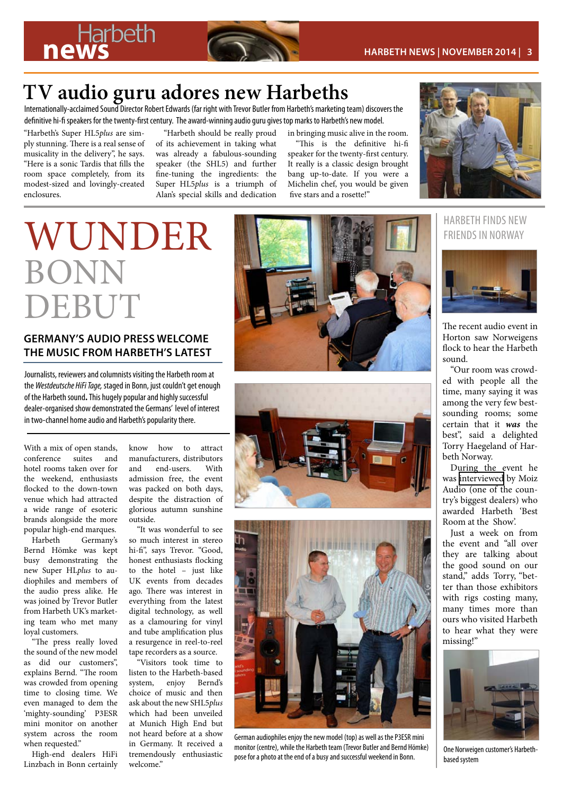## **TV audio guru adores new Harbeths**

Internationally-acclaimed Sound Director Robert Edwards (far right with Trevor Butler from Harbeth's marketing team) discovers the definitive hi-fi speakers for the twenty-first century. The award-winning audio guru gives top marks to Harbeth's new model.

"Harbeth's Super HL5*plus* are simply stunning. There is a real sense of musicality in the delivery", he says. "Here is a sonic Tardis that fills the room space completely, from its modest-sized and lovingly-created enclosures.

"Harbeth should be really proud of its achievement in taking what was already a fabulous-sounding speaker (the SHL5) and further fine-tuning the ingredients: the Super HL5*plus* is a triumph of Alan's special skills and dedication in bringing music alive in the room.

"This is the definitive hi-fi speaker for the twenty-first century. It really is a classic design brought bang up-to-date. If you were a Michelin chef, you would be given five stars and a rosette!"



# BONN DEBUT

## **GERMANY'S AUDIO PRESS WELCOME THE MUSIC FROM HARBETH'S LATEST**

Journalists, reviewers and columnists visiting the Harbeth room at the *Westdeutsche HiFi Tage,* staged in Bonn, just couldn't get enough of the Harbeth sound**.** This hugely popular and highly successful dealer-organised show demonstrated the Germans' level of interest in two-channel home audio and Harbeth's popularity there.

With a mix of open stands, conference suites and hotel rooms taken over for the weekend, enthusiasts flocked to the down-town venue which had attracted a wide range of esoteric brands alongside the more popular high-end marques.

Harbeth Germany's Bernd Hömke was kept busy demonstrating the new Super HL*plus* to audiophiles and members of the audio press alike. He was joined by Trevor Butler from Harbeth UK's marketing team who met many loyal customers.

"The press really loved the sound of the new model as did our customers", explains Bernd. "The room was crowded from opening time to closing time. We even managed to dem the 'mighty-sounding' P3ESR mini monitor on another system across the room when requested."

High-end dealers HiFi Linzbach in Bonn certainly know how to attract manufacturers, distributors and end-users. With admission free, the event was packed on both days, despite the distraction of glorious autumn sunshine outside.

"It was wonderful to see so much interest in stereo hi-fi", says Trevor. "Good, honest enthusiasts flocking to the hotel – just like UK events from decades ago. There was interest in everything from the latest digital technology, as well as a clamouring for vinyl and tube amplification plus a resurgence in reel-to-reel tape recorders as a source.

"Visitors took time to listen to the Harbeth-based system, enjoy Bernd's choice of music and then ask about the new SHL5*plus* which had been unveiled at Munich High End but not heard before at a show in Germany. It received a tremendously enthusiastic welcome"







German audiophiles enjoy the new model (top) as well as the P3ESR mini monitor (centre), while the Harbeth team (Trevor Butler and Bernd Hömke) pose for a photo at the end of a busy and successful weekend in Bonn.



The recent audio event in Horton saw Norweigens flock to hear the Harbeth sound.

"Our room was crowded with people all the time, many saying it was among the very few bestsounding rooms; some certain that it *was* the best", said a delighted Torry Haegeland of Harbeth Norway.

During the event he was [interviewed](http://https://www.facebook.com/video.php?v=894593587218316) by Moiz Audio (one of the country's biggest dealers) who awarded Harbeth 'Best Room at the Show'.

Just a week on from the event and "all over they are talking about the good sound on our stand," adds Torry, "better than those exhibitors with rigs costing many, many times more than ours who visited Harbeth to hear what they were missing!"



One Norweigen customer's Harbethbased system